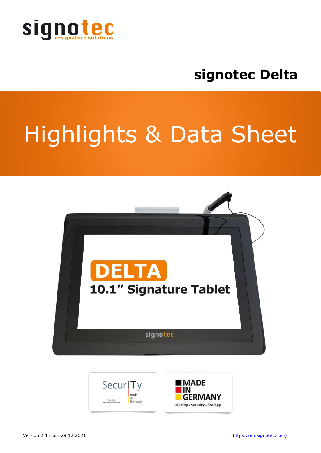

## **signotec Delta**

# Highlights & Data Sheet



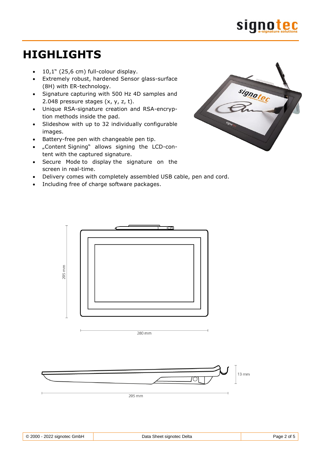

### **HIGHLIGHTS**

- $\bullet$  10,1" (25,6 cm) full-colour display.
- Extremely robust, hardened Sensor glass-surface (8H) with ER-technology.
- Signature capturing with 500 Hz 4D samples and 2.048 pressure stages (x, y, z, t).
- Unique RSA-signature creation and RSA-encryption methods inside the pad.
- Slideshow with up to 32 individually configurable images.
- Battery-free pen with changeable pen tip.
- "Content Signing" allows signing the LCD-content with the captured signature.
- Secure Mode to display the signature on the screen in real-time.
- Delivery comes with completely assembled USB cable, pen and cord.
- Including free of charge software packages.





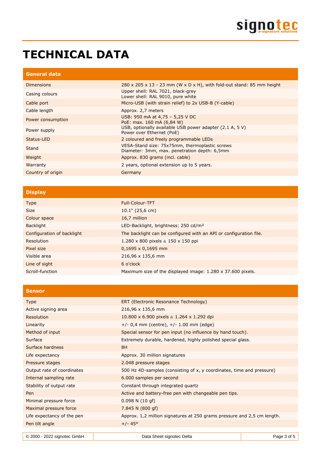## **TECHNICAL DATA**

| <b>General data</b> |                                                                                                 |
|---------------------|-------------------------------------------------------------------------------------------------|
| <b>Dimensions</b>   | $280 \times 205 \times 13 - 23$ mm (W $\times$ D $\times$ H), with fold-out stand: 85 mm height |
| Casing colours      | Upper shell: RAL 7021, black-grey<br>Lower shell: RAL 9010, pure white                          |
| Cable port          | Micro-USB (with strain relief) to 2x USB-B (Y-cable)                                            |
| Cable length        | Approx. 2,7 meters                                                                              |
| Power consumption   | USB: 950 mA at 4,75 - 5,25 V DC<br>PoE: max. 160 mA (6,84 W)                                    |
| Power supply        | USB, optionally available USB power adapter (2.1 A, 5 V)<br>Power over Ethernet (PoE)           |
| Status-LED          | 2 coloured and freely programmable LEDs                                                         |
| Stand               | VESA-Stand size: 75x75mm, thermoplastic screws<br>Diameter: 3mm, max. penetration depth: 6,5mm  |
| Weight              | Approx. 830 grams (incl. cable)                                                                 |
| Warranty            | 2 years, optional extension up to 5 years.                                                      |
| Country of origin   | Germany                                                                                         |
|                     |                                                                                                 |

#### **Display**

| <b>Type</b>                | <b>Full-Colour-TFT</b>                                             |
|----------------------------|--------------------------------------------------------------------|
| <b>Size</b>                | $10.1$ " (25,6 cm)                                                 |
| Colour space               | 16,7 million                                                       |
| Backlight                  | LED-Backlight, brightness: 250 cd/m <sup>2</sup>                   |
| Configuration of backlight | The backlight can be configured with an API or configuration file. |
| Resolution                 | 1.280 x 800 pixels $\triangleq$ 150 x 150 ppi                      |
| Pixel size                 | $0,1695 \times 0,1695$ mm                                          |
| Visible area               | 216,96 x 135,6 mm                                                  |
| Line of sight              | 6 o'clock                                                          |
| Scroll-function            | Maximum size of the displayed image: 1.280 x 37.600 pixels.        |

| <b>Sensor</b>              |                                                                         |
|----------------------------|-------------------------------------------------------------------------|
| <b>Type</b>                | ERT (Electronic Resonance Technology)                                   |
| Active signing area        | 216,96 x 135,6 mm                                                       |
| Resolution                 | 10.800 x 6.900 pixels $\triangleq$ 1.264 x 1.292 dpi                    |
| Linearity                  | $+/- 0,4$ mm (centre), $+/- 1.00$ mm (edge)                             |
| Method of input            | Special sensor for pen input (no influence by hand touch).              |
| Surface                    | Extremely durable, hardened, highly polished special glass.             |
| Surface hardness           | 8H                                                                      |
| Life expectancy            | Approx. 30 million signatures                                           |
| Pressure stages            | 2.048 pressure stages                                                   |
| Output rate of coordinates | 500 Hz 4D-samples (consisting of x, y coordinates, time and pressure)   |
| Internal sampling rate     | 6.000 samples per second                                                |
| Stability of output rate   | Constant through integrated quartz                                      |
| Pen                        | Active and battery-free pen with changeable pen tips.                   |
| Minimal pressure force     | $0.098$ N $(10$ gf)                                                     |
| Maximal pressure force     | 7.845 N (800 gf)                                                        |
| Life expectancy of the pen | Approx. 1,2 million signatures at 250 grams pressure and 2,5 cm length. |
| Pen tilt angle             | $+/- 45^{\circ}$                                                        |
|                            |                                                                         |

| © 2000 - 2022 signotec GmbH | Data Sheet signotec Delta | Page 3 of 5 |
|-----------------------------|---------------------------|-------------|
|                             |                           |             |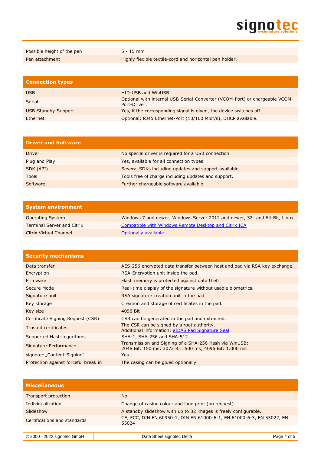

| Possible height of the pen | $5 - 15$ mm                                             |
|----------------------------|---------------------------------------------------------|
| Pen attachment             | Highly flexible textile-cord and horizontal pen holder. |

| <b>Connection types</b> |                                                                                             |
|-------------------------|---------------------------------------------------------------------------------------------|
| <b>USB</b>              | <b>HID-USB and WinUSB</b>                                                                   |
| Serial                  | Optional with internal USB-Serial-Converter (VCOM-Port) or chargeable VCOM-<br>Port-Driver. |
| USB-Standby-Support     | Yes, if the corresponding signal is given, the device switches off.                         |
| Ethernet                | Optional; RJ45 Ethernet-Port (10/100 Mbit/s), DHCP available.                               |

| <b>Driver and Software</b> |                                                       |
|----------------------------|-------------------------------------------------------|
| <b>Driver</b>              | No special driver is required for a USB connection.   |
| Plug and Play              | Yes, available for all connection types.              |
| SDK (API)                  | Several SDKs including updates and support available. |
| <b>Tools</b>               | Tools free of charge including updates and support.   |
| Software                   | Further chargeable software available.                |

| <b>System environment</b>         |                                                                           |
|-----------------------------------|---------------------------------------------------------------------------|
| <b>Operating System</b>           | Windows 7 and newer, Windows Server 2012 and newer, 32- and 64-Bit, Linux |
| <b>Terminal Server and Citrix</b> | Compatible with Windows Remote Desktop and Citrix ICA                     |
| <b>Citrix Virtual Channel</b>     | Optionally available                                                      |

| <b>Security mechanisms</b>           |                                                                                                                  |
|--------------------------------------|------------------------------------------------------------------------------------------------------------------|
| Data transfer                        | AES-256 encrypted data transfer between host and pad via RSA key exchange.                                       |
| Encryption                           | RSA-Encryption unit inside the pad.                                                                              |
| <b>Firmware</b>                      | Flash memory is protected against data theft.                                                                    |
| Secure Mode                          | Real-time display of the signature without usable biometrics.                                                    |
| Signature unit                       | RSA signature creation unit in the pad.                                                                          |
| Key storage                          | Creation and storage of certificates in the pad.                                                                 |
| Key size                             | 4096 Bit                                                                                                         |
| Certificate Signing Request (CSR)    | CSR can be generated in the pad and extracted.                                                                   |
| <b>Trusted certificates</b>          | The CSR can be signed by a root authority.<br>Additional information: eIDAS Pad Signature Seal                   |
| Supported Hash-algorithms            | SHA-1, SHA-256 and SHA-512                                                                                       |
| Signature-Performance                | Transmission and Signing of a SHA-256 Hash via WinUSB:<br>2048 Bit: 150 ms; 3072 Bit: 500 ms; 4096 Bit: 1.000 ms |
| signotec "Content-Signing"           | Yes.                                                                                                             |
| Protection against forceful break in | The casing can be glued optionally.                                                                              |

| <b>Miscellaneous</b>         |                                                                                |
|------------------------------|--------------------------------------------------------------------------------|
| Transport protection         | N <sub>o</sub>                                                                 |
| Individualization            | Change of casing colour and logo print (on request).                           |
| Slideshow                    | A standby slideshow with up to 32 images is freely configurable.               |
| Certifications and standards | CE, FCC, DIN EN 60950-1, DIN EN 61000-6-1, EN 61000-6-3, EN 55022, EN<br>55024 |
|                              |                                                                                |

| $\circ$ 2000 - 2022 signotec GmbH<br>Data Sheet signotec Delta<br>Page |  |
|------------------------------------------------------------------------|--|
|------------------------------------------------------------------------|--|